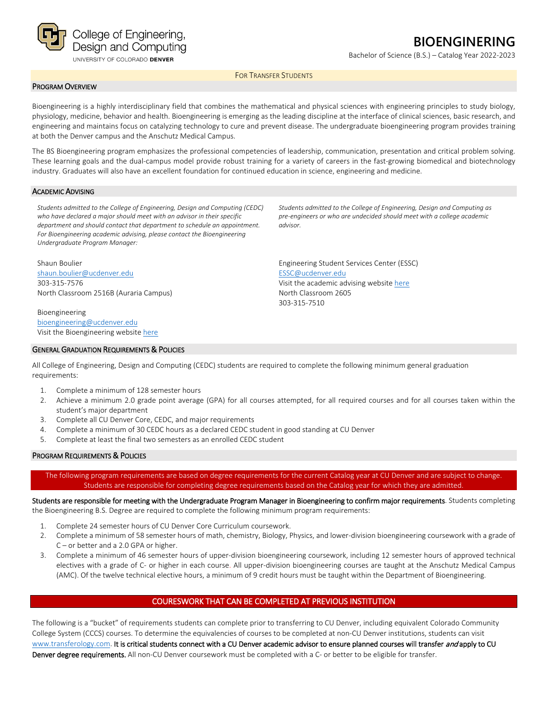

# **BIOENGINERING**

Bachelor of Science (B.S.) – Catalog Year 2022-2023

FOR TRANSFER STUDENTS

## PROGRAM OVERVIEW

Bioengineering is a highly interdisciplinary field that combines the mathematical and physical sciences with engineering principles to study biology, physiology, medicine, behavior and health. Bioengineering is emerging as the leading discipline at the interface of clinical sciences, basic research, and engineering and maintains focus on catalyzing technology to cure and prevent disease. The undergraduate bioengineering program provides training at both the Denver campus and the Anschutz Medical Campus.

The BS Bioengineering program emphasizes the professional competencies of leadership, communication, presentation and critical problem solving. These learning goals and the dual-campus model provide robust training for a variety of careers in the fast-growing biomedical and biotechnology industry. Graduates will also have an excellent foundation for continued education in science, engineering and medicine.

## ACADEMIC ADVISING

*Students admitted to the College of Engineering, Design and Computing (CEDC) who have declared a major should meet with an advisor in their specific department and should contact that department to schedule an appointment. For Bioengineering academic advising, please contact the Bioengineering Undergraduate Program Manager:*

Shaun Boulier [shaun.boulier@ucdenver.edu](mailto:shaun.boulier@ucdenver.edu) 303-315-7576 North Classroom 2516B (Auraria Campus)

Bioengineering [bioengineering@ucdenver.edu](mailto:bioengineering@ucdenver.edu) Visit the Bioengineering website [here](http://www.ucdenver.edu/academics/colleges/Engineering/Programs/bioengineering/UndergraduateProgram/Pages/undergraduateHome.aspx)

## GENERAL GRADUATION REQUIREMENTS & POLICIES

*Students admitted to the College of Engineering, Design and Computing as pre-engineers or who are undecided should meet with a college academic advisor.*

Engineering Student Services Center (ESSC) [ESSC@ucdenver.edu](mailto:ESSC@ucdenver.edu) Visit the academic advising website [here](https://engineering.ucdenver.edu/current-students/academic-advising) North Classroom 2605 303-315-7510

All College of Engineering, Design and Computing (CEDC) students are required to complete the following minimum general graduation requirements:

- 1. Complete a minimum of 128 semester hours
- 2. Achieve a minimum 2.0 grade point average (GPA) for all courses attempted, for all required courses and for all courses taken within the student's major department
- 3. Complete all CU Denver Core, CEDC, and major requirements
- 4. Complete a minimum of 30 CEDC hours as a declared CEDC student in good standing at CU Denver
- 5. Complete at least the final two semesters as an enrolled CEDC student

## PROGRAM REQUIREMENTS & POLICIES

The following program requirements are based on degree requirements for the current Catalog year at CU Denver and are subject to change. Students are responsible for completing degree requirements based on the Catalog year for which they are admitted.

Students are responsible for meeting with the Undergraduate Program Manager in Bioengineering to confirm major requirements. Students completing the Bioengineering B.S. Degree are required to complete the following minimum program requirements:

- 1. Complete 24 semester hours of CU Denver Core Curriculum coursework.
- 2. Complete a minimum of 58 semester hours of math, chemistry, Biology, Physics, and lower-division bioengineering coursework with a grade of C – or better and a 2.0 GPA or higher.
- 3. Complete a minimum of 46 semester hours of upper-division bioengineering coursework, including 12 semester hours of approved technical electives with a grade of C- or higher in each course. All upper-division bioengineering courses are taught at the Anschutz Medical Campus (AMC). Of the twelve technical elective hours, a minimum of 9 credit hours must be taught within the Department of Bioengineering.

## COURESWORK THAT CAN BE COMPLETED AT PREVIOUS INSTITUTION

The following is a "bucket" of requirements students can complete prior to transferring to CU Denver, including equivalent Colorado Community College System (CCCS) courses. To determine the equivalencies of courses to be completed at non-CU Denver institutions, students can visit [www.transferology.com.](http://www.transferology.com/) It is critical students connect with a CU Denver academic advisor to ensure planned courses will transfer and apply to CU Denver degree requirements. All non-CU Denver coursework must be completed with a C- or better to be eligible for transfer.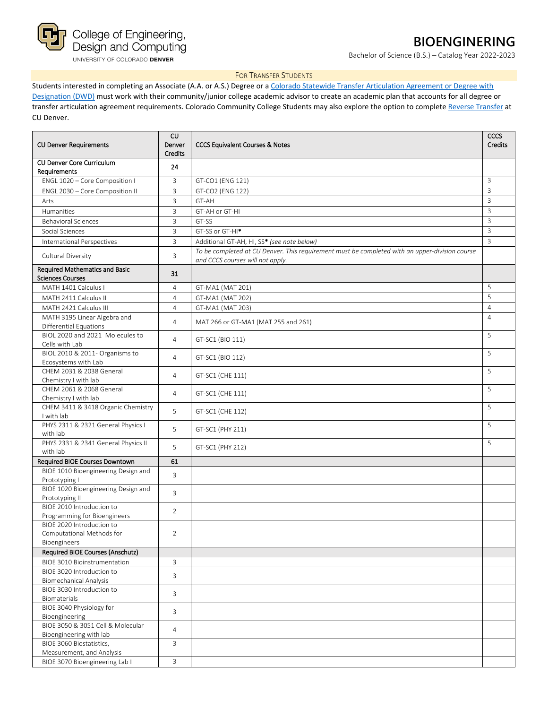

## **BIOENGINERING**

Bachelor of Science (B.S.) – Catalog Year 2022-2023

## FOR TRANSFER STUDENTS

Students interested in completing an Associate (A.A. or A.S.) Degree or a Colorado Statewide Transfer Articulation Agreement or Degree with [Designation \(DWD\)](https://highered.colorado.gov/Academics/Transfers/TransferDegrees.html) must work with their community/junior college academic advisor to create an academic plan that accounts for all degree or transfer articulation agreement requirements. Colorado Community College Students may also explore the option to complete [Reverse Transfer](https://degreewithinreach.wordpress.com/) at CU Denver.

| <b>CU Denver Requirements</b>                                          | CU<br>Denver<br><b>Credits</b> | <b>CCCS Equivalent Courses &amp; Notes</b>                                                                                         |                |
|------------------------------------------------------------------------|--------------------------------|------------------------------------------------------------------------------------------------------------------------------------|----------------|
| CU Denver Core Curriculum                                              | 24                             |                                                                                                                                    |                |
| Requirements                                                           |                                |                                                                                                                                    |                |
| ENGL 1020 - Core Composition I                                         | 3                              | GT-CO1 (ENG 121)                                                                                                                   | 3              |
| ENGL 2030 - Core Composition II                                        | $\overline{3}$                 | GT-CO2 (ENG 122)                                                                                                                   | $\overline{3}$ |
| Arts                                                                   | 3                              | GT-AH                                                                                                                              | $\overline{3}$ |
| Humanities                                                             | $\overline{3}$                 | GT-AH or GT-HI                                                                                                                     | 3              |
| <b>Behavioral Sciences</b>                                             | 3                              | GT-SS                                                                                                                              | 3              |
| Social Sciences                                                        | $\overline{3}$                 | GT-SS or GT-HI <sup>*</sup>                                                                                                        | $\overline{3}$ |
| International Perspectives                                             | 3                              | Additional GT-AH, HI, SS* (see note below)                                                                                         | $\overline{3}$ |
| Cultural Diversity                                                     | $\overline{3}$                 | To be completed at CU Denver. This requirement must be completed with an upper-division course<br>and CCCS courses will not apply. |                |
| <b>Required Mathematics and Basic</b><br><b>Sciences Courses</b>       | 31                             |                                                                                                                                    |                |
| MATH 1401 Calculus I                                                   | $\overline{4}$                 | GT-MA1 (MAT 201)                                                                                                                   | 5              |
| MATH 2411 Calculus II                                                  | $\overline{4}$                 | GT-MA1 (MAT 202)                                                                                                                   | 5              |
| MATH 2421 Calculus III                                                 | $\overline{4}$                 | GT-MA1 (MAT 203)                                                                                                                   | $\overline{4}$ |
| MATH 3195 Linear Algebra and<br><b>Differential Equations</b>          | $\overline{4}$                 | MAT 266 or GT-MA1 (MAT 255 and 261)                                                                                                | $\overline{4}$ |
| BIOL 2020 and 2021 Molecules to<br>Cells with Lab                      | $\overline{4}$                 | GT-SC1 (BIO 111)                                                                                                                   | 5              |
| BIOL 2010 & 2011- Organisms to<br>Ecosystems with Lab                  | $\overline{4}$                 | GT-SC1 (BIO 112)                                                                                                                   | 5              |
| CHEM 2031 & 2038 General<br>Chemistry I with lab                       | $\overline{4}$                 | GT-SC1 (CHE 111)                                                                                                                   | 5              |
| CHFM 2061 & 2068 General<br>Chemistry I with lab                       | $\overline{4}$                 | GT-SC1 (CHE 111)                                                                                                                   | 5              |
| CHEM 3411 & 3418 Organic Chemistry<br>I with lab                       | 5                              | GT-SC1 (CHE 112)                                                                                                                   | 5              |
| PHYS 2311 & 2321 General Physics I<br>with lab                         | 5                              | GT-SC1 (PHY 211)                                                                                                                   | 5              |
| PHYS 2331 & 2341 General Physics II<br>with lab                        | 5                              | GT-SC1 (PHY 212)                                                                                                                   | 5              |
| Required BIOE Courses Downtown                                         | 61                             |                                                                                                                                    |                |
| BIOE 1010 Bioengineering Design and<br>Prototyping I                   | 3                              |                                                                                                                                    |                |
| BIOE 1020 Bioengineering Design and<br>Prototyping II                  | 3                              |                                                                                                                                    |                |
| BIOE 2010 Introduction to<br>Programming for Bioengineers              | $\overline{2}$                 |                                                                                                                                    |                |
| BIOE 2020 Introduction to<br>Computational Methods for<br>Bioengineers | $\overline{2}$                 |                                                                                                                                    |                |
| Required BIOE Courses (Anschutz)                                       |                                |                                                                                                                                    |                |
| <b>BIOE 3010 Bioinstrumentation</b>                                    | 3                              |                                                                                                                                    |                |
| BIOE 3020 Introduction to<br><b>Biomechanical Analysis</b>             | 3                              |                                                                                                                                    |                |
| BIOE 3030 Introduction to<br>Biomaterials                              | 3                              |                                                                                                                                    |                |
| BIOE 3040 Physiology for<br>Bioengineering                             | 3                              |                                                                                                                                    |                |
| BIOE 3050 & 3051 Cell & Molecular<br>Bioengineering with lab           | $\overline{4}$                 |                                                                                                                                    |                |
| BIOE 3060 Biostatistics,                                               | 3                              |                                                                                                                                    |                |
| Measurement, and Analysis<br>BIOE 3070 Bioengineering Lab I            | 3                              |                                                                                                                                    |                |